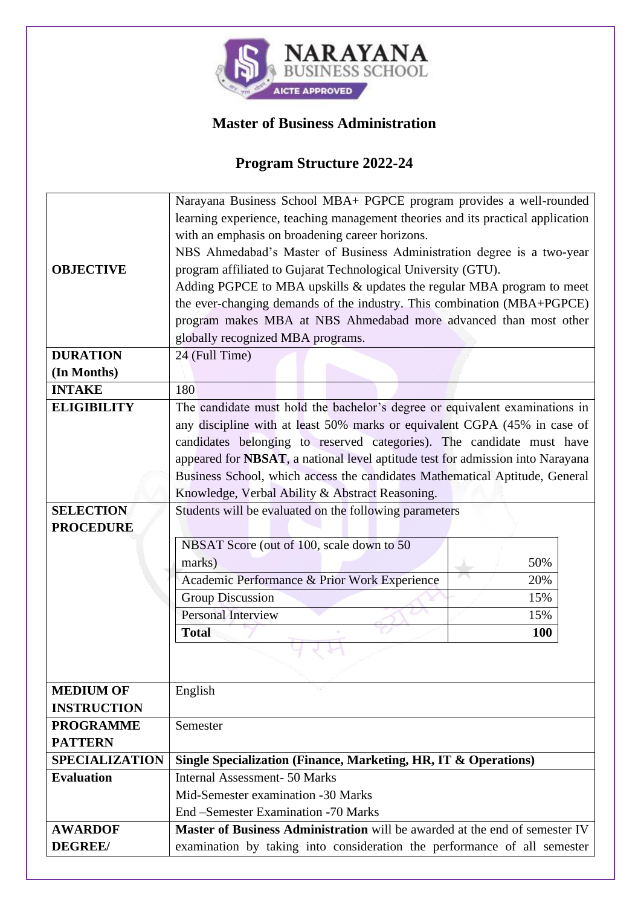

## **Master of Business Administration**

## **Program Structure 2022-24**

|                       | Narayana Business School MBA+ PGPCE program provides a well-rounded                |            |  |  |  |  |  |  |
|-----------------------|------------------------------------------------------------------------------------|------------|--|--|--|--|--|--|
|                       | learning experience, teaching management theories and its practical application    |            |  |  |  |  |  |  |
|                       | with an emphasis on broadening career horizons.                                    |            |  |  |  |  |  |  |
|                       | NBS Ahmedabad's Master of Business Administration degree is a two-year             |            |  |  |  |  |  |  |
| <b>OBJECTIVE</b>      | program affiliated to Gujarat Technological University (GTU).                      |            |  |  |  |  |  |  |
|                       | Adding PGPCE to MBA upskills & updates the regular MBA program to meet             |            |  |  |  |  |  |  |
|                       | the ever-changing demands of the industry. This combination (MBA+PGPCE)            |            |  |  |  |  |  |  |
|                       | program makes MBA at NBS Ahmedabad more advanced than most other                   |            |  |  |  |  |  |  |
|                       | globally recognized MBA programs.                                                  |            |  |  |  |  |  |  |
| <b>DURATION</b>       | 24 (Full Time)                                                                     |            |  |  |  |  |  |  |
| (In Months)           |                                                                                    |            |  |  |  |  |  |  |
| <b>INTAKE</b>         | 180                                                                                |            |  |  |  |  |  |  |
| <b>ELIGIBILITY</b>    | The candidate must hold the bachelor's degree or equivalent examinations in        |            |  |  |  |  |  |  |
|                       | any discipline with at least 50% marks or equivalent CGPA (45% in case of          |            |  |  |  |  |  |  |
|                       | candidates belonging to reserved categories). The candidate must have              |            |  |  |  |  |  |  |
|                       | appeared for NBSAT, a national level aptitude test for admission into Narayana     |            |  |  |  |  |  |  |
|                       | Business School, which access the candidates Mathematical Aptitude, General        |            |  |  |  |  |  |  |
|                       | Knowledge, Verbal Ability & Abstract Reasoning.                                    |            |  |  |  |  |  |  |
| <b>SELECTION</b>      | Students will be evaluated on the following parameters                             |            |  |  |  |  |  |  |
| <b>PROCEDURE</b>      |                                                                                    |            |  |  |  |  |  |  |
|                       | NBSAT Score (out of 100, scale down to 50                                          |            |  |  |  |  |  |  |
|                       | marks)                                                                             | 50%        |  |  |  |  |  |  |
|                       | Academic Performance & Prior Work Experience                                       | 20%        |  |  |  |  |  |  |
|                       | <b>Group Discussion</b>                                                            | 15%        |  |  |  |  |  |  |
|                       | <b>Personal Interview</b>                                                          | 15%        |  |  |  |  |  |  |
|                       | <b>Total</b>                                                                       | <b>100</b> |  |  |  |  |  |  |
|                       |                                                                                    |            |  |  |  |  |  |  |
|                       |                                                                                    |            |  |  |  |  |  |  |
| <b>MEDIUM OF</b>      | English                                                                            |            |  |  |  |  |  |  |
| <b>INSTRUCTION</b>    |                                                                                    |            |  |  |  |  |  |  |
| <b>PROGRAMME</b>      | Semester                                                                           |            |  |  |  |  |  |  |
| <b>PATTERN</b>        |                                                                                    |            |  |  |  |  |  |  |
| <b>SPECIALIZATION</b> | Single Specialization (Finance, Marketing, HR, IT & Operations)                    |            |  |  |  |  |  |  |
| <b>Evaluation</b>     | <b>Internal Assessment-50 Marks</b>                                                |            |  |  |  |  |  |  |
|                       | Mid-Semester examination -30 Marks                                                 |            |  |  |  |  |  |  |
|                       | End -Semester Examination -70 Marks                                                |            |  |  |  |  |  |  |
| <b>AWARDOF</b>        | <b>Master of Business Administration</b> will be awarded at the end of semester IV |            |  |  |  |  |  |  |
| <b>DEGREE/</b>        | examination by taking into consideration the performance of all semester           |            |  |  |  |  |  |  |
|                       |                                                                                    |            |  |  |  |  |  |  |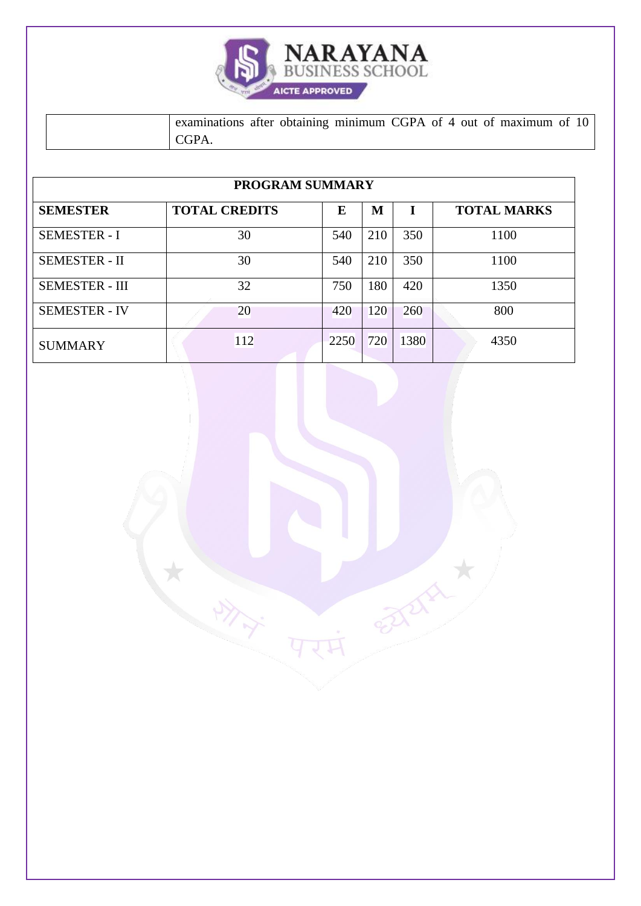| <b>NARAYANA</b><br><b>BUSINESS SCHOOL</b> |  |
|-------------------------------------------|--|
| <b>AICTE APPROVED</b>                     |  |

examinations after obtaining minimum CGPA of 4 out of maximum of 10 CGPA.

| <b>PROGRAM SUMMARY</b> |                      |      |     |      |                    |  |  |  |  |
|------------------------|----------------------|------|-----|------|--------------------|--|--|--|--|
| <b>SEMESTER</b>        | <b>TOTAL CREDITS</b> | E    | M   |      | <b>TOTAL MARKS</b> |  |  |  |  |
| <b>SEMESTER - I</b>    | 30                   | 540  | 210 | 350  | 1100               |  |  |  |  |
| <b>SEMESTER - II</b>   | 30                   | 540  | 210 | 350  | 1100               |  |  |  |  |
| <b>SEMESTER - III</b>  | 32                   | 750  | 180 | 420  | 1350               |  |  |  |  |
| <b>SEMESTER - IV</b>   | 20                   | 420  | 120 | 260  | 800                |  |  |  |  |
| <b>SUMMARY</b>         | 112                  | 2250 | 720 | 1380 | 4350               |  |  |  |  |

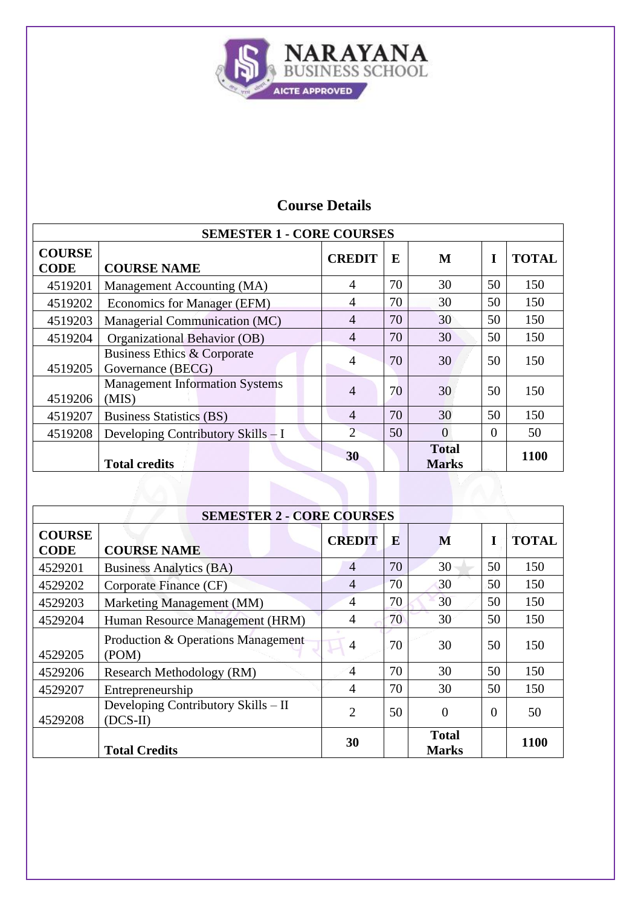

| <b>SEMESTER 1 - CORE COURSES</b> |                                                  |                |    |                              |    |              |  |  |
|----------------------------------|--------------------------------------------------|----------------|----|------------------------------|----|--------------|--|--|
| <b>COURSE</b><br><b>CODE</b>     | <b>COURSE NAME</b>                               | <b>CREDIT</b>  | E  | M                            |    | <b>TOTAL</b> |  |  |
| 4519201                          | Management Accounting (MA)                       | 4              | 70 | 30                           | 50 | 150          |  |  |
| 4519202                          | Economics for Manager (EFM)                      | 4              | 70 | 30                           | 50 | 150          |  |  |
| 4519203                          | Managerial Communication (MC)                    | 4              | 70 | 30                           | 50 | 150          |  |  |
| 4519204                          | Organizational Behavior (OB)                     | $\overline{4}$ | 70 | 30                           | 50 | 150          |  |  |
| 4519205                          | Business Ethics & Corporate<br>Governance (BECG) | 4              | 70 | 30                           | 50 | 150          |  |  |
| 4519206                          | <b>Management Information Systems</b><br>(MIS)   | $\overline{4}$ | 70 | 30                           | 50 | 150          |  |  |
| 4519207                          | <b>Business Statistics (BS)</b>                  | $\overline{4}$ | 70 | 30                           | 50 | 150          |  |  |
| 4519208                          | Developing Contributory Skills - I               | $\overline{2}$ | 50 | $\Omega$                     | 0  | 50           |  |  |
|                                  | <b>Total credits</b>                             | 30             |    | <b>Total</b><br><b>Marks</b> |    | 1100         |  |  |

| <b>SEMESTER 2 - CORE COURSES</b> |                                                   |                |    |                              |    |              |  |  |
|----------------------------------|---------------------------------------------------|----------------|----|------------------------------|----|--------------|--|--|
| <b>COURSE</b><br><b>CODE</b>     | <b>COURSE NAME</b>                                | <b>CREDIT</b>  | E  | M                            | T  | <b>TOTAL</b> |  |  |
| 4529201                          | <b>Business Analytics (BA)</b>                    | $\overline{4}$ | 70 | 30                           | 50 | 150          |  |  |
| 4529202                          | Corporate Finance (CF)                            | 4              | 70 | 30                           | 50 | 150          |  |  |
| 4529203                          | Marketing Management (MM)                         | $\overline{4}$ | 70 | 30                           | 50 | 150          |  |  |
| 4529204                          | Human Resource Management (HRM)                   | $\overline{4}$ | 70 | 30                           | 50 | 150          |  |  |
| 4529205                          | Production & Operations Management<br>(POM)       | $\overline{4}$ | 70 | 30                           | 50 | 150          |  |  |
| 4529206                          | Research Methodology (RM)                         | 4              | 70 | 30                           | 50 | 150          |  |  |
| 4529207                          | Entrepreneurship                                  | 4              | 70 | 30                           | 50 | 150          |  |  |
| 4529208                          | Developing Contributory Skills – II<br>$(DCS-II)$ | $\overline{2}$ | 50 | $\overline{0}$               | 0  | 50           |  |  |
|                                  | <b>Total Credits</b>                              | 30             |    | <b>Total</b><br><b>Marks</b> |    | 1100         |  |  |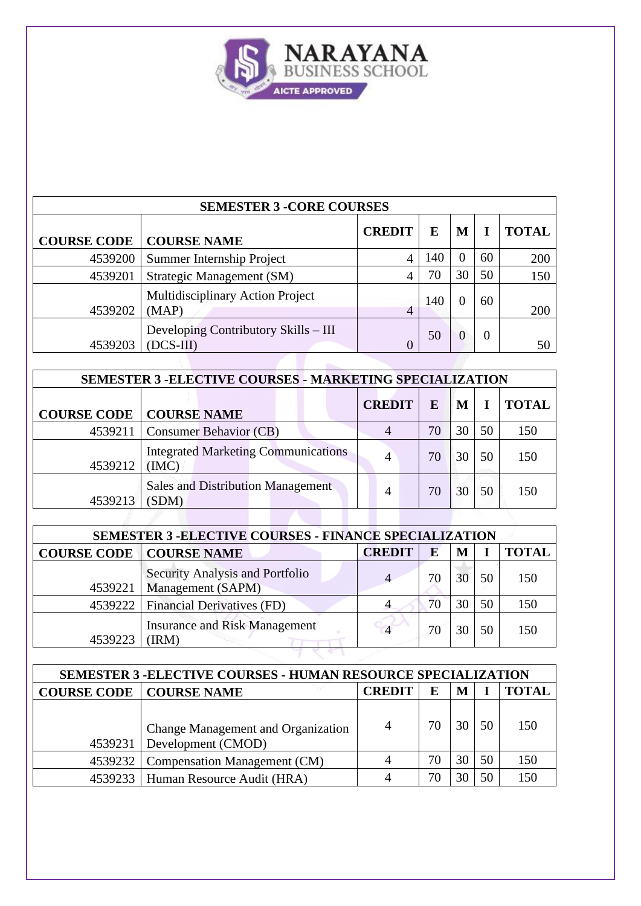

| <b>SEMESTER 3 -CORE COURSES</b> |                                                   |               |     |    |          |              |  |
|---------------------------------|---------------------------------------------------|---------------|-----|----|----------|--------------|--|
| <b>COURSE CODE</b>              | <b>COURSE NAME</b>                                | <b>CREDIT</b> | E   | M  |          | <b>TOTAL</b> |  |
| 4539200                         | <b>Summer Internship Project</b>                  | 4             | 140 |    | 60       | 200          |  |
| 4539201                         | Strategic Management (SM)                         | 4             | 70  | 30 | 50       | 150          |  |
| 4539202                         | Multidisciplinary Action Project<br>(MAP)         | 4             | 140 |    | 60       | 200          |  |
| 4539203                         | Developing Contributory Skills – III<br>(DCS-III) |               | 50  |    | $\Omega$ | 50           |  |

| <b>SEMESTER 3 - ELECTIVE COURSES - MARKETING SPECIALIZATION</b> |                                                    |               |    |    |    |              |  |
|-----------------------------------------------------------------|----------------------------------------------------|---------------|----|----|----|--------------|--|
| <b>COURSE CODE</b>                                              | <b>COURSE NAME</b>                                 | <b>CREDIT</b> | E  | M  |    | <b>TOTAL</b> |  |
| 4539211                                                         | <b>Consumer Behavior (CB)</b>                      | 4             | 70 | 30 | 50 | 150          |  |
| 4539212                                                         | <b>Integrated Marketing Communications</b><br>(MC) | 4             | 70 | 30 | 50 | 150          |  |
| 4539213                                                         | <b>Sales and Distribution Management</b><br>(SDM)  | 4             | 70 | 30 | 50 | 150          |  |
|                                                                 |                                                    |               |    |    |    |              |  |

| <b>SEMESTER 3 - ELECTIVE COURSES - FINANCE SPECIALIZATION</b> |                                                             |               |    |    |    |              |  |
|---------------------------------------------------------------|-------------------------------------------------------------|---------------|----|----|----|--------------|--|
|                                                               | <b>COURSE CODE   COURSE NAME</b>                            | <b>CREDIT</b> | E  | M  |    | <b>TOTAL</b> |  |
| 4539221                                                       | <b>Security Analysis and Portfolio</b><br>Management (SAPM) |               | 70 | 30 | 50 | 150          |  |
|                                                               | 4539222   Financial Derivatives (FD)                        |               | 70 | 30 | 50 | 150          |  |
| 4539223                                                       | <b>Insurance and Risk Management</b><br>(IRM)               |               | 70 |    | 50 | 150          |  |
|                                                               |                                                             |               |    |    |    |              |  |

| <b>SEMESTER 3 -ELECTIVE COURSES - HUMAN RESOURCE SPECIALIZATION</b> |                                                          |               |    |   |    |              |  |  |
|---------------------------------------------------------------------|----------------------------------------------------------|---------------|----|---|----|--------------|--|--|
|                                                                     | <b>COURSE CODE   COURSE NAME</b>                         | <b>CREDIT</b> | E  | M |    | <b>TOTAL</b> |  |  |
| 4539231                                                             | Change Management and Organization<br>Development (CMOD) | 4             | 70 |   | 50 | 150          |  |  |
|                                                                     | 4539232   Compensation Management (CM)                   |               | 70 |   | 50 | 150          |  |  |
|                                                                     | 4539233   Human Resource Audit (HRA)                     |               | 70 |   | 50 |              |  |  |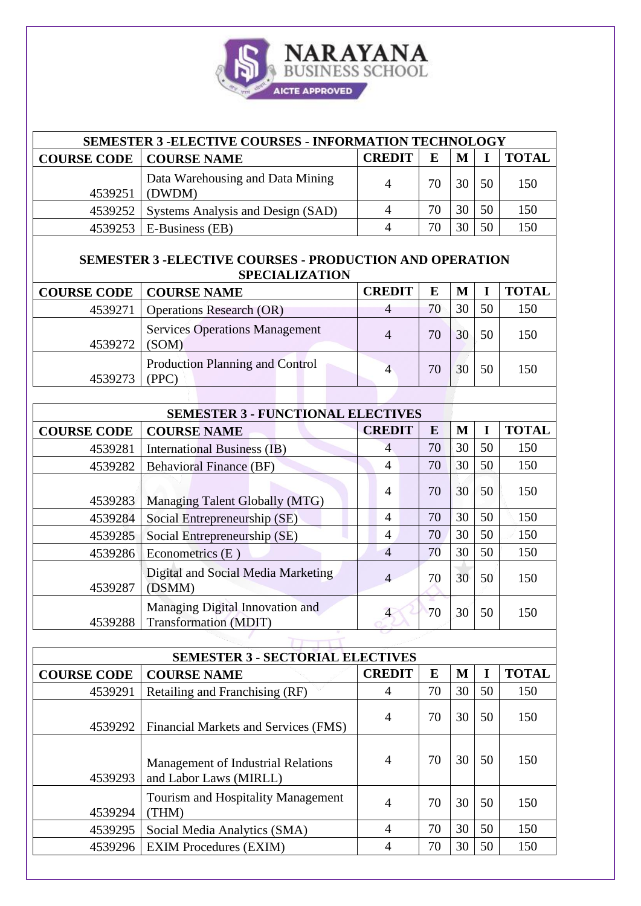| NARAYANA<br><b>BUSINESS SCHOOL</b> |
|------------------------------------|
| <b>AICTE APPROVED</b>              |

| <b>SEMESTER 3 -ELECTIVE COURSES - INFORMATION TECHNOLOGY</b>                            |                                                                     |                        |           |                 |              |              |  |  |
|-----------------------------------------------------------------------------------------|---------------------------------------------------------------------|------------------------|-----------|-----------------|--------------|--------------|--|--|
| <b>COURSE CODE</b>                                                                      | <b>COURSE NAME</b>                                                  | <b>CREDIT</b>          | $\bf{E}$  | M               | I            | <b>TOTAL</b> |  |  |
|                                                                                         |                                                                     |                        |           |                 |              |              |  |  |
| 4539251                                                                                 | Data Warehousing and Data Mining<br>(DWDM)                          | $\overline{4}$         | 70        | 30              | 50           | 150          |  |  |
| 4539252                                                                                 | Systems Analysis and Design (SAD)                                   | $\overline{4}$         | 70        | 30              | 50           | 150          |  |  |
| 4539253                                                                                 | E-Business (EB)                                                     | $\overline{4}$         | 70        | 30              | 50           | 150          |  |  |
| <b>SEMESTER 3 -ELECTIVE COURSES - PRODUCTION AND OPERATION</b><br><b>SPECIALIZATION</b> |                                                                     |                        |           |                 |              |              |  |  |
| <b>COURSE CODE</b>                                                                      | <b>COURSE NAME</b>                                                  | <b>CREDIT</b>          | ${\bf E}$ | $\mathbf M$     | $\mathbf I$  | <b>TOTAL</b> |  |  |
| 4539271                                                                                 | <b>Operations Research (OR)</b>                                     | $\overline{4}$         | 70        | 30              | 50           | 150          |  |  |
| 4539272                                                                                 | <b>Services Operations Management</b><br>(SOM)                      | $\overline{4}$         | 70        | 30              | 50           | 150          |  |  |
| 4539273                                                                                 | <b>Production Planning and Control</b><br>(PPC)                     | $\overline{4}$         | 70        | 30              | 50           | 150          |  |  |
|                                                                                         |                                                                     |                        |           |                 |              |              |  |  |
|                                                                                         | <b>SEMESTER 3 - FUNCTIONAL ELECTIVES</b>                            |                        |           |                 |              |              |  |  |
| <b>COURSE CODE</b>                                                                      | <b>COURSE NAME</b>                                                  | <b>CREDIT</b>          | E         | $\mathbf{M}$    | $\bf{I}$     | <b>TOTAL</b> |  |  |
| 4539281                                                                                 | <b>International Business (IB)</b>                                  | $\overline{4}$         | 70        | 30              | 50           | 150          |  |  |
| 4539282                                                                                 | <b>Behavioral Finance (BF)</b>                                      | $\overline{4}$         | 70        | 30              | 50           | 150          |  |  |
| 4539283                                                                                 | Managing Talent Globally (MTG)                                      | $\overline{4}$         | 70        | 30              | 50           | 150          |  |  |
| 4539284                                                                                 | Social Entrepreneurship (SE)                                        | $\overline{4}$         | 70        | 30              | 50           | 150          |  |  |
| 4539285                                                                                 | Social Entrepreneurship (SE)                                        | $\overline{4}$         | 70        | 30              | 50           | 150          |  |  |
| 4539286                                                                                 | Econometrics (E)                                                    | $\overline{4}$         | 70        | 30              | 50           | 150          |  |  |
| 4539287                                                                                 | Digital and Social Media Marketing<br>(DSMM)                        | $\overline{4}$         | 70        | 30              | 50           | 150          |  |  |
| 4539288                                                                                 | Managing Digital Innovation and<br>Transformation (MDIT)            | $\overline{4}$         | 70        | 30 <sup>1</sup> | 50           | 150          |  |  |
|                                                                                         |                                                                     |                        |           |                 |              |              |  |  |
|                                                                                         | <b>SEMESTER 3 - SECTORIAL ELECTIVES</b>                             |                        |           |                 |              |              |  |  |
| <b>COURSE CODE</b>                                                                      | <b>COURSE NAME</b>                                                  | <b>CREDIT</b>          | E         | $\mathbf M$     | I            | <b>TOTAL</b> |  |  |
| 4539291                                                                                 | Retailing and Franchising (RF)                                      | 4                      | 70        | 30              | 50           | 150          |  |  |
| 4539292                                                                                 | Financial Markets and Services (FMS)                                | $\overline{4}$         | 70        | 30              | 50           | 150          |  |  |
| 4539293                                                                                 | <b>Management of Industrial Relations</b><br>and Labor Laws (MIRLL) | $\overline{4}$         | 70        | 30              | 50           | 150          |  |  |
|                                                                                         | Tourism and Hospitality Management                                  | $\boldsymbol{\Lambda}$ | 70        |                 | $30 \mid 50$ | 150          |  |  |

4539295 Social Media Analytics (SMA)<br>4 70 30 50 150<br>4 70 30 50 150

 $4$  70 30 50 150

4539294

(THM)

 $4539296$  EXIM Procedures (EXIM)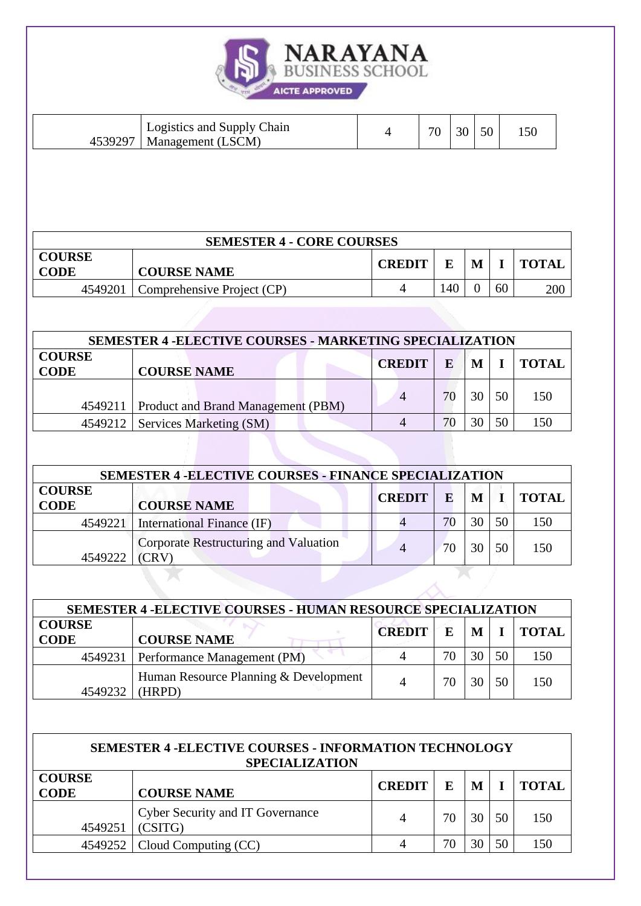

| Logistics and Supply Chain<br>4539297<br>Management (LSCM) |  | 70 | $\sim$ | 50 |  |
|------------------------------------------------------------|--|----|--------|----|--|
|------------------------------------------------------------|--|----|--------|----|--|

| <b>SEMESTER 4 - CORE COURSES</b> |                            |               |     |   |    |              |
|----------------------------------|----------------------------|---------------|-----|---|----|--------------|
| <b>COURSE</b><br><b>CODE</b>     | <b>COURSE NAME</b>         | <b>CREDIT</b> |     | M |    | <b>TOTAL</b> |
| 4549201                          | Comprehensive Project (CP) |               | .40 |   | 60 | 200          |
|                                  |                            |               |     |   |    |              |

|                              | <b>SEMESTER 4 - ELECTIVE COURSES - MARKETING SPECIALIZATION</b> |               |    |    |    |              |
|------------------------------|-----------------------------------------------------------------|---------------|----|----|----|--------------|
| <b>COURSE</b><br><b>CODE</b> | <b>COURSE NAME</b>                                              | <b>CREDIT</b> | E  | M  |    | <b>TOTAL</b> |
|                              | 4549211   Product and Brand Management (PBM)                    | 4             | 70 | 30 | 50 | 150          |
|                              | 4549212   Services Marketing (SM)                               |               | 70 | 30 | 50 | 150          |

| <b>SEMESTER 4 - ELECTIVE COURSES - FINANCE SPECIALIZATION</b> |                                                |               |    |    |    |              |  |
|---------------------------------------------------------------|------------------------------------------------|---------------|----|----|----|--------------|--|
| <b>COURSE</b><br><b>CODE</b>                                  | <b>COURSE NAME</b>                             | <b>CREDIT</b> | E  | M  |    | <b>TOTAL</b> |  |
|                                                               | 4549221   International Finance (IF)           |               | 70 | 30 | 50 | 150          |  |
| 4549222                                                       | Corporate Restructuring and Valuation<br>(CRV) |               | 70 | 30 | 50 | 150          |  |
|                                                               |                                                |               |    |    |    |              |  |

|                              | <b>SEMESTER 4 - ELECTIVE COURSES - HUMAN RESOURCE SPECIALIZATION</b> |               |    |    |    |              |
|------------------------------|----------------------------------------------------------------------|---------------|----|----|----|--------------|
| <b>COURSE</b><br><b>CODE</b> | <b>COURSE NAME</b>                                                   | <b>CREDIT</b> | E  | M  |    | <b>TOTAL</b> |
| 4549231                      | Performance Management (PM)                                          |               | 70 | 30 | 50 | 150          |
| 4549232                      | Human Resource Planning & Development<br>(HRPD)                      |               | 70 | 30 | 50 | 150          |

| <b>SEMESTER 4 - ELECTIVE COURSES - INFORMATION TECHNOLOGY</b><br><b>SPECIALIZATION</b> |                                             |               |    |            |    |       |
|----------------------------------------------------------------------------------------|---------------------------------------------|---------------|----|------------|----|-------|
| <b>COURSE</b><br><b>CODE</b>                                                           | <b>COURSE NAME</b>                          | <b>CREDIT</b> | F. | $M \mid I$ |    | TOTAL |
| 4549251                                                                                | Cyber Security and IT Governance<br>(CSITG) |               | 70 | 30         | 50 | 150   |
|                                                                                        | 4549252   Cloud Computing (CC)              |               | 70 | 30         |    | 150   |